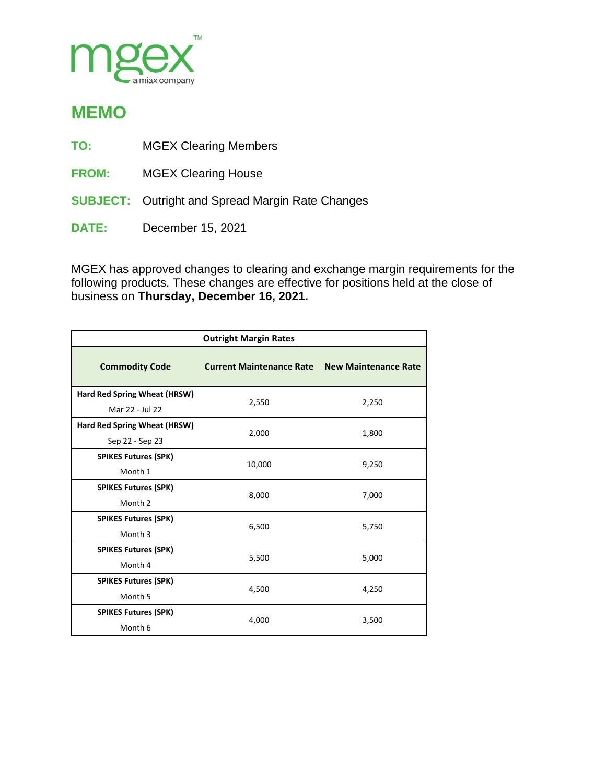

## **MEMO**

- **TO:** MGEX Clearing Members
- **FROM:** MGEX Clearing House
- **SUBJECT:** Outright and Spread Margin Rate Changes
- **DATE:** December 15, 2021

MGEX has approved changes to clearing and exchange margin requirements for the following products. These changes are effective for positions held at the close of business on **Thursday, December 16, 2021.**

| <b>Outright Margin Rates</b> |                                 |                             |  |  |  |
|------------------------------|---------------------------------|-----------------------------|--|--|--|
| <b>Commodity Code</b>        | <b>Current Maintenance Rate</b> | <b>New Maintenance Rate</b> |  |  |  |
| Hard Red Spring Wheat (HRSW) | 2,550                           | 2,250                       |  |  |  |
| Mar 22 - Jul 22              |                                 |                             |  |  |  |
| Hard Red Spring Wheat (HRSW) |                                 | 1,800                       |  |  |  |
| Sep 22 - Sep 23              | 2,000                           |                             |  |  |  |
| <b>SPIKES Futures (SPK)</b>  | 10,000                          | 9,250                       |  |  |  |
| Month 1                      |                                 |                             |  |  |  |
| <b>SPIKES Futures (SPK)</b>  | 8,000                           | 7,000                       |  |  |  |
| Month 2                      |                                 |                             |  |  |  |
| <b>SPIKES Futures (SPK)</b>  | 6,500                           | 5,750                       |  |  |  |
| Month <sub>3</sub>           |                                 |                             |  |  |  |
| <b>SPIKES Futures (SPK)</b>  | 5,500                           | 5,000                       |  |  |  |
| Month 4                      |                                 |                             |  |  |  |
| <b>SPIKES Futures (SPK)</b>  | 4,500                           | 4,250                       |  |  |  |
| Month 5                      |                                 |                             |  |  |  |
| <b>SPIKES Futures (SPK)</b>  |                                 | 3,500                       |  |  |  |
| Month 6                      | 4,000                           |                             |  |  |  |